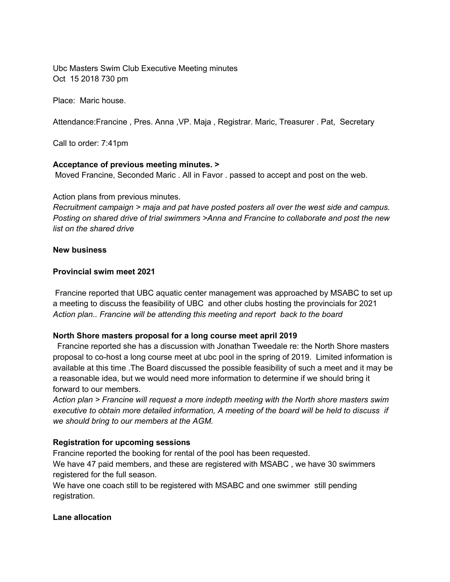Ubc Masters Swim Club Executive Meeting minutes Oct 15 2018 730 pm

Place: Maric house.

Attendance:Francine , Pres. Anna ,VP. Maja , Registrar. Maric, Treasurer . Pat, Secretary

Call to order: 7:41pm

## **Acceptance of previous meeting minutes. >**

Moved Francine, Seconded Maric . All in Favor . passed to accept and post on the web.

Action plans from previous minutes.

*Recruitment campaign > maja and pat have posted posters all over the west side and campus. Posting on shared drive of trial swimmers >Anna and Francine to collaborate and post the new list on the shared drive*

## **New business**

## **Provincial swim meet 2021**

Francine reported that UBC aquatic center management was approached by MSABC to set up a meeting to discuss the feasibility of UBC and other clubs hosting the provincials for 2021 *Action plan.. Francine will be attending this meeting and report back to the board*

# **North Shore masters proposal for a long course meet april 2019**

Francine reported she has a discussion with Jonathan Tweedale re: the North Shore masters proposal to co-host a long course meet at ubc pool in the spring of 2019. Limited information is available at this time .The Board discussed the possible feasibility of such a meet and it may be a reasonable idea, but we would need more information to determine if we should bring it forward to our members.

*Action plan > Francine will request a more indepth meeting with the North shore masters swim executive to obtain more detailed information, A meeting of the board will be held to discuss if we should bring to our members at the AGM.*

# **Registration for upcoming sessions**

Francine reported the booking for rental of the pool has been requested.

We have 47 paid members, and these are registered with MSABC , we have 30 swimmers registered for the full season.

We have one coach still to be registered with MSABC and one swimmer still pending registration.

# **Lane allocation**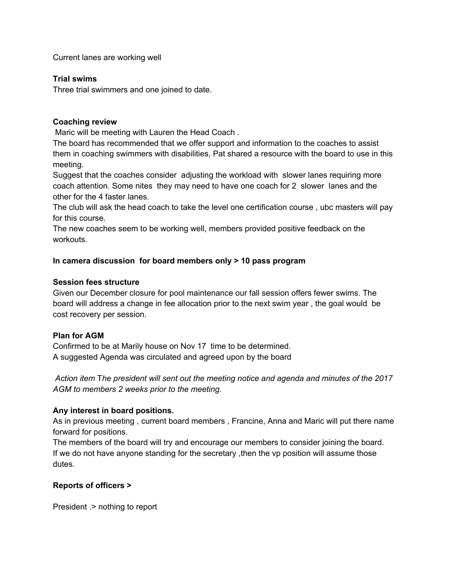Current lanes are working well

# **Trial swims**

Three trial swimmers and one joined to date.

## **Coaching review**

Maric will be meeting with Lauren the Head Coach .

The board has recommended that we offer support and information to the coaches to assist them in coaching swimmers with disabilities, Pat shared a resource with the board to use in this meeting.

Suggest that the coaches consider adjusting the workload with slower lanes requiring more coach attention. Some nites they may need to have one coach for 2 slower lanes and the other for the 4 faster lanes.

The club will ask the head coach to take the level one certification course , ubc masters will pay for this course.

The new coaches seem to be working well, members provided positive feedback on the workouts.

## **In camera discussion for board members only > 10 pass program**

## **Session fees structure**

Given our December closure for pool maintenance our fall session offers fewer swims. The board will address a change in fee allocation prior to the next swim year , the goal would be cost recovery per session.

# **Plan for AGM**

Confirmed to be at Marily house on Nov 17 time to be determined. A suggested Agenda was circulated and agreed upon by the board

*Action item* T*he president will sent out the meeting notice and agenda and minutes of the 2017 AGM to members 2 weeks prior to the meeting.*

# **Any interest in board positions.**

As in previous meeting , current board members , Francine, Anna and Maric will put there name forward for positions.

The members of the board will try and encourage our members to consider joining the board. If we do not have anyone standing for the secretary ,then the vp position will assume those dutes.

# **Reports of officers >**

President .> nothing to report